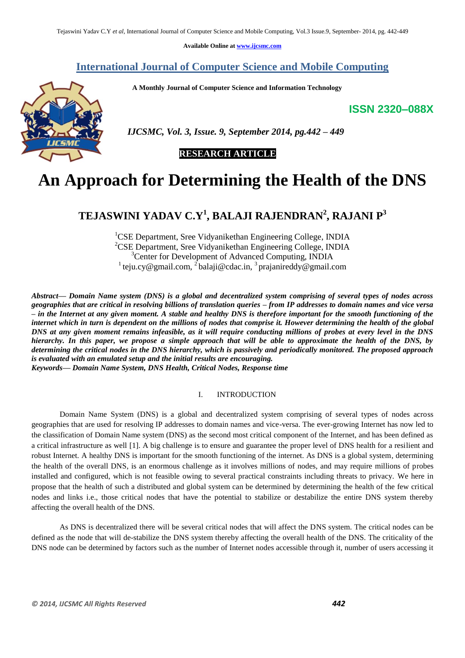**Available Online at [www.ijcsmc.com](http://www.ijcsmc.com/)**

**International Journal of Computer Science and Mobile Computing**

 **A Monthly Journal of Computer Science and Information Technology**

**ISSN 2320–088X**



 *IJCSMC, Vol. 3, Issue. 9, September 2014, pg.442 – 449*

### **RESEARCH ARTICLE**

# **An Approach for Determining the Health of the DNS**

## **TEJASWINI YADAV C.Y<sup>1</sup> , BALAJI RAJENDRAN<sup>2</sup> , RAJANI P<sup>3</sup>**

<sup>1</sup>CSE Department, Sree Vidyanikethan Engineering College, INDIA <sup>2</sup>CSE Department, Sree Vidyanikethan Engineering College, INDIA <sup>3</sup>Center for Development of Advanced Computing, INDIA <sup>1</sup> [teju.cy@gmail.com,](mailto:teju.cy@gmail.com,%202) <sup>2</sup> [balaji@cdac.in,](mailto:balaji@cdac.in,%203) <sup>3</sup> [prajanireddy@gmail.com](mailto:prajanireddy@gmail.com)

*Abstract— Domain Name system (DNS) is a global and decentralized system comprising of several types of nodes across geographies that are critical in resolving billions of translation queries – from IP addresses to domain names and vice versa – in the Internet at any given moment. A stable and healthy DNS is therefore important for the smooth functioning of the internet which in turn is dependent on the millions of nodes that comprise it. However determining the health of the global DNS at any given moment remains infeasible, as it will require conducting millions of probes at every level in the DNS hierarchy. In this paper, we propose a simple approach that will be able to approximate the health of the DNS, by determining the critical nodes in the DNS hierarchy, which is passively and periodically monitored. The proposed approach is evaluated with an emulated setup and the initial results are encouraging.*

*Keywords— Domain Name System, DNS Health, Critical Nodes, Response time*

#### I. INTRODUCTION

Domain Name System (DNS) is a global and decentralized system comprising of several types of nodes across geographies that are used for resolving IP addresses to domain names and vice-versa. The ever-growing Internet has now led to the classification of Domain Name system (DNS) as the second most critical component of the Internet, and has been defined as a critical infrastructure as well [1]. A big challenge is to ensure and guarantee the proper level of DNS health for a resilient and robust Internet. A healthy DNS is important for the smooth functioning of the internet. As DNS is a global system, determining the health of the overall DNS, is an enormous challenge as it involves millions of nodes, and may require millions of probes installed and configured, which is not feasible owing to several practical constraints including threats to privacy. We here in propose that the health of such a distributed and global system can be determined by determining the health of the few critical nodes and links i.e., those critical nodes that have the potential to stabilize or destabilize the entire DNS system thereby affecting the overall health of the DNS.

As DNS is decentralized there will be several critical nodes that will affect the DNS system. The critical nodes can be defined as the node that will de-stabilize the DNS system thereby affecting the overall health of the DNS. The criticality of the DNS node can be determined by factors such as the number of Internet nodes accessible through it, number of users accessing it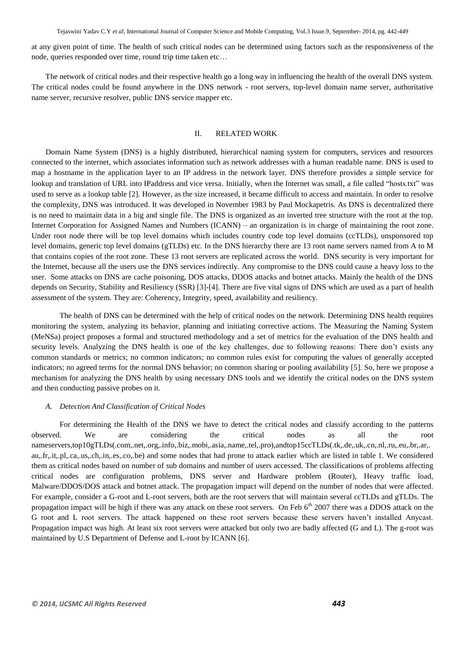Tejaswini Yadav C.Y *et al*, International Journal of Computer Science and Mobile Computing, Vol.3 Issue.9, September- 2014, pg. 442-449

at any given point of time. The health of such critical nodes can be determined using factors such as the responsiveness of the node, queries responded over time, round trip time taken etc…

The network of critical nodes and their respective health go a long way in influencing the health of the overall DNS system. The critical nodes could be found anywhere in the DNS network - root servers, top-level domain name server, authoritative name server, recursive resolver, public DNS service mapper etc.

#### II. RELATED WORK

Domain Name System (DNS) is a highly distributed, hierarchical naming system for computers, services and resources connected to the internet, which associates information such as network addresses with a human readable name. DNS is used to map a hostname in the application layer to an IP address in the network layer. DNS therefore provides a simple service for lookup and translation of URL into IPaddress and vice versa. Initially, when the Internet was small, a file called "hosts.txt" was used to serve as a lookup table [2]. However, as the size increased, it became difficult to access and maintain. In order to resolve the complexity, DNS was introduced. It was developed in November 1983 by Paul Mockapetris. As DNS is decentralized there is no need to maintain data in a big and single file. The DNS is organized as an inverted tree structure with the root at the top. Internet Corporation for Assigned Names and Numbers (ICANN) – an organization is in charge of maintaining the root zone. Under root node there will be top level domains which includes country code top level domains (ccTLDs), unsponsored top level domains, generic top level domains (gTLDs) etc. In the DNS hierarchy there are 13 root name servers named from A to M that contains copies of the root zone. These 13 root servers are replicated across the world. DNS security is very important for the Internet, because all the users use the DNS services indirectly. Any compromise to the DNS could cause a heavy loss to the user. Some attacks on DNS are cache poisoning, DOS attacks, DDOS attacks and botnet attacks. Mainly the health of the DNS depends on Security, Stability and Resiliency (SSR) [3]-[4]. There are five vital signs of DNS which are used as a part of health assessment of the system. They are: Coherency, Integrity, speed, availability and resiliency.

The health of DNS can be determined with the help of critical nodes on the network. Determining DNS health requires monitoring the system, analyzing its behavior, planning and initiating corrective actions. The Measuring the Naming System (MeNSa) project proposes a formal and structured methodology and a set of metrics for the evaluation of the DNS health and security levels. Analyzing the DNS health is one of the key challenges, due to following reasons: There don't exists any common standards or metrics; no common indicators; no common rules exist for computing the values of generally accepted indicators; no agreed terms for the normal DNS behavior; no common sharing or pooling availability [5]. So, here we propose a mechanism for analyzing the DNS health by using necessary DNS tools and we identify the critical nodes on the DNS system and then conducting passive probes on it.

#### *A. Detection And Classification of Critical Nodes*

For determining the Health of the DNS we have to detect the critical nodes and classify according to the patterns observed. We are considering the critical nodes as all the root nameservers,top10gTLDs(.com,.net,.org,.info,.biz,.mobi,.asia,.name,.tel,.pro),andtop15ccTLDs(.tk,.de,.uk,.cn,.nl,.ru,.eu,.br,.ar,. au,.fr,.it,.pl,.ca,.us,.ch,.in,.es,.co,.be) and some nodes that had prone to attack earlier which are listed in table 1. We considered them as critical nodes based on number of sub domains and number of users accessed. The classifications of problems affecting critical nodes are configuration problems, DNS server and Hardware problem (Router), Heavy traffic load, Malware/DDOS/DOS attack and botnet attack. The propagation impact will depend on the number of nodes that were affected. For example, consider a G-root and L-root servers, both are the root servers that will maintain several ccTLDs and gTLDs. The propagation impact will be high if there was any attack on these root servers. On Feb 6<sup>th</sup> 2007 there was a DDOS attack on the G root and L root servers. The attack happened on these root servers because these servers haven't installed Anycast. Propagation impact was high. At least six root servers were attacked but only two are badly affected (G and L). The g-root was maintained by U.S Department of Defense and L-root by ICANN [6].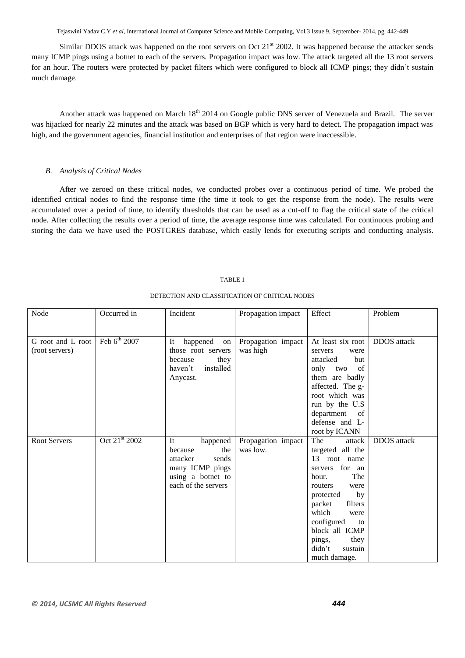Tejaswini Yadav C.Y *et al*, International Journal of Computer Science and Mobile Computing, Vol.3 Issue.9, September- 2014, pg. 442-449

Similar DDOS attack was happened on the root servers on Oct  $21<sup>st</sup>$  2002. It was happened because the attacker sends many ICMP pings using a botnet to each of the servers. Propagation impact was low. The attack targeted all the 13 root servers for an hour. The routers were protected by packet filters which were configured to block all ICMP pings; they didn't sustain much damage.

Another attack was happened on March 18<sup>th</sup> 2014 on Google public DNS server of Venezuela and Brazil. The server was hijacked for nearly 22 minutes and the attack was based on BGP which is very hard to detect. The propagation impact was high, and the government agencies, financial institution and enterprises of that region were inaccessible.

#### *B. Analysis of Critical Nodes*

After we zeroed on these critical nodes, we conducted probes over a continuous period of time. We probed the identified critical nodes to find the response time (the time it took to get the response from the node). The results were accumulated over a period of time, to identify thresholds that can be used as a cut-off to flag the critical state of the critical node. After collecting the results over a period of time, the average response time was calculated. For continuous probing and storing the data we have used the POSTGRES database, which easily lends for executing scripts and conducting analysis.

#### TABLE 1

| Node                | Occurred in               | Incident             | Propagation impact | Effect                     | Problem            |
|---------------------|---------------------------|----------------------|--------------------|----------------------------|--------------------|
|                     |                           |                      |                    |                            |                    |
| G root and L root   | Feb 6th 2007              | It<br>happened<br>on | Propagation impact | At least six root          | <b>DDOS</b> attack |
| (root servers)      |                           | those root servers   | was high           | servers<br>were            |                    |
|                     |                           | because<br>they      |                    | but<br>attacked            |                    |
|                     |                           | installed<br>haven't |                    | of<br>only two             |                    |
|                     |                           | Anycast.             |                    | them are badly             |                    |
|                     |                           |                      |                    | affected. The g-           |                    |
|                     |                           |                      |                    | root which was             |                    |
|                     |                           |                      |                    | run by the U.S             |                    |
|                     |                           |                      |                    | department of              |                    |
|                     |                           |                      |                    | defense and L-             |                    |
|                     |                           |                      |                    | root by ICANN              |                    |
| <b>Root Servers</b> | Oct 21 <sup>st</sup> 2002 | It<br>happened       | Propagation impact | The<br>attack              | <b>DDOS</b> attack |
|                     |                           | the<br>because       | was low.           | targeted all the           |                    |
|                     |                           | attacker<br>sends    |                    | 13 root name               |                    |
|                     |                           | many ICMP pings      |                    | servers for an             |                    |
|                     |                           | using a botnet to    |                    | The<br>hour.               |                    |
|                     |                           | each of the servers  |                    | routers<br>were            |                    |
|                     |                           |                      |                    | by<br>protected            |                    |
|                     |                           |                      |                    | packet<br>filters<br>which |                    |
|                     |                           |                      |                    | were<br>configured<br>to   |                    |
|                     |                           |                      |                    | block all ICMP             |                    |
|                     |                           |                      |                    | they<br>pings,             |                    |
|                     |                           |                      |                    | didn't<br>sustain          |                    |
|                     |                           |                      |                    | much damage.               |                    |

#### DETECTION AND CLASSIFICATION OF CRITICAL NODES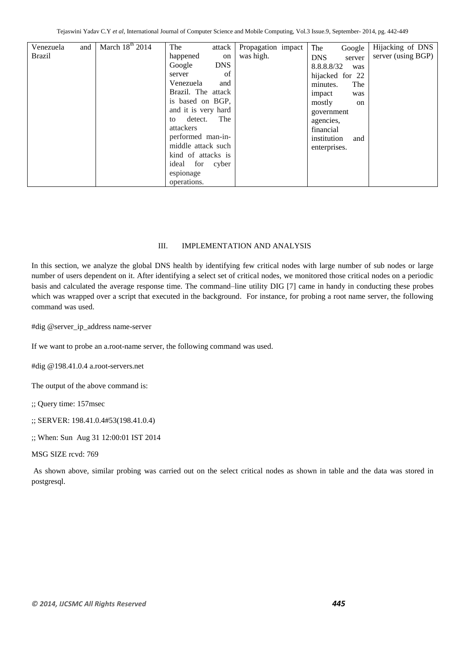| Venezuela     | and | March $18th$ 2014 | The<br>attack        | Propagation impact | The<br>Google        | Hijacking of DNS      |
|---------------|-----|-------------------|----------------------|--------------------|----------------------|-----------------------|
| <b>Brazil</b> |     |                   | happened<br>on       | was high.          | <b>DNS</b><br>server | server (using $BGP$ ) |
|               |     |                   | Google<br><b>DNS</b> |                    | 8.8.8.8/32<br>was    |                       |
|               |     |                   | of<br>server         |                    | hijacked for 22      |                       |
|               |     |                   | Venezuela<br>and     |                    | The<br>minutes.      |                       |
|               |     |                   | Brazil. The attack   |                    | impact<br>was        |                       |
|               |     |                   | is based on BGP,     |                    | mostly<br>on         |                       |
|               |     |                   | and it is very hard  |                    | government           |                       |
|               |     |                   | The<br>detect.<br>to |                    | agencies,            |                       |
|               |     |                   | attackers            |                    | financial            |                       |
|               |     |                   | performed man-in-    |                    | institution<br>and   |                       |
|               |     |                   | middle attack such   |                    | enterprises.         |                       |
|               |     |                   | kind of attacks is   |                    |                      |                       |
|               |     |                   | ideal for cyber      |                    |                      |                       |
|               |     |                   | espionage            |                    |                      |                       |
|               |     |                   | operations.          |                    |                      |                       |

#### III. IMPLEMENTATION AND ANALYSIS

In this section, we analyze the global DNS health by identifying few critical nodes with large number of sub nodes or large number of users dependent on it. After identifying a select set of critical nodes, we monitored those critical nodes on a periodic basis and calculated the average response time. The command–line utility DIG [7] came in handy in conducting these probes which was wrapped over a script that executed in the background. For instance, for probing a root name server, the following command was used.

#dig @server\_ip\_address name-server

If we want to probe an a.root-name server, the following command was used.

#dig @198.41.0.4 a.root-servers.net

The output of the above command is:

;; Query time: 157msec

;; SERVER: 198.41.0.4#53(198.41.0.4)

;; When: Sun Aug 31 12:00:01 IST 2014

MSG SIZE rcvd: 769

As shown above, similar probing was carried out on the select critical nodes as shown in table and the data was stored in postgresql.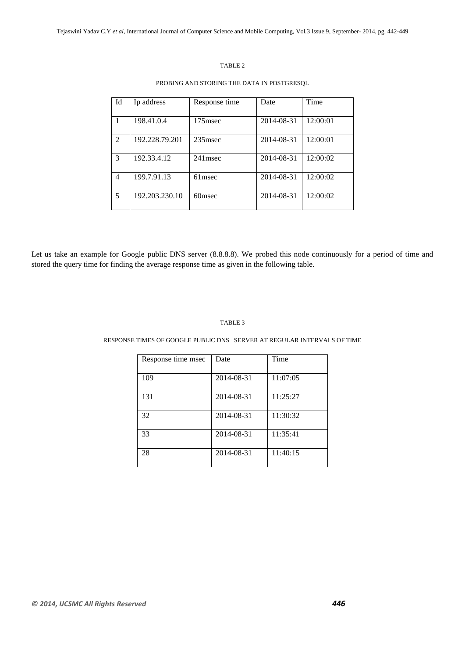#### TABLE 2

#### PROBING AND STORING THE DATA IN POSTGRESQL

| Id             | Ip address     | Response time | Date       | Time     |
|----------------|----------------|---------------|------------|----------|
|                | 198.41.0.4     | 175msec       | 2014-08-31 | 12:00:01 |
| $\mathfrak{D}$ | 192.228.79.201 | $235$ msec    | 2014-08-31 | 12:00:01 |
| 3              | 192.33.4.12    | 241msec       | 2014-08-31 | 12:00:02 |
| $\overline{4}$ | 199.7.91.13    | 61msec        | 2014-08-31 | 12:00:02 |
| 5              | 192.203.230.10 | 60msec        | 2014-08-31 | 12:00:02 |

Let us take an example for Google public DNS server (8.8.8.8). We probed this node continuously for a period of time and stored the query time for finding the average response time as given in the following table.

#### TABLE 3

#### RESPONSE TIMES OF GOOGLE PUBLIC DNS SERVER AT REGULAR INTERVALS OF TIME

| Response time msec | Date       | Time     |
|--------------------|------------|----------|
| 109                | 2014-08-31 | 11:07:05 |
| 131                | 2014-08-31 | 11:25:27 |
| 32                 | 2014-08-31 | 11:30:32 |
| 33                 | 2014-08-31 | 11:35:41 |
| 28                 | 2014-08-31 | 11:40:15 |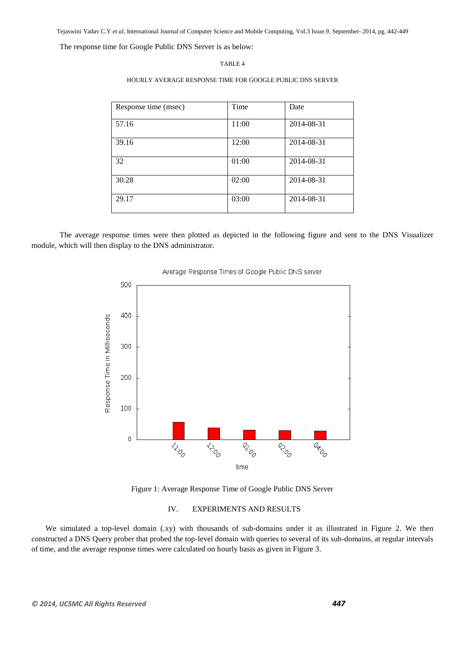Tejaswini Yadav C.Y *et al*, International Journal of Computer Science and Mobile Computing, Vol.3 Issue.9, September- 2014, pg. 442-449

The response time for Google Public DNS Server is as below:

#### TABLE 4

#### HOURLY AVERAGE RESPONSE TIME FOR GOOGLE PUBLIC DNS SERVER

| Response time (msec) | Time  | Date       |
|----------------------|-------|------------|
| 57.16                | 11:00 | 2014-08-31 |
| 39.16                | 12:00 | 2014-08-31 |
| 32                   | 01:00 | 2014-08-31 |
| 30.28                | 02:00 | 2014-08-31 |
| 29.17                | 03:00 | 2014-08-31 |

The average response times were then plotted as depicted in the following figure and sent to the DNS Visualizer module, which will then display to the DNS administrator.



#### Average Response Times of Google Public DNS server

Figure 1: Average Response Time of Google Public DNS Server

#### IV. EXPERIMENTS AND RESULTS

We simulated a top-level domain (.xy) with thousands of sub-domains under it as illustrated in Figure 2. We then constructed a DNS Query prober that probed the top-level domain with queries to several of its sub-domains, at regular intervals of time, and the average response times were calculated on hourly basis as given in Figure 3.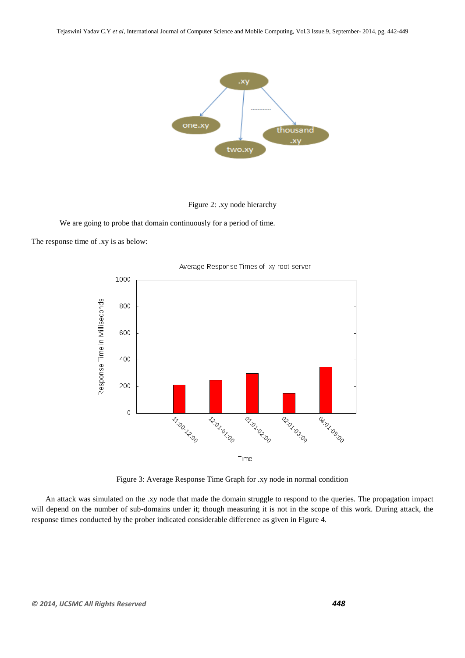



We are going to probe that domain continuously for a period of time.

The response time of .xy is as below:



Average Response Times of .xy root-server

Figure 3: Average Response Time Graph for .xy node in normal condition

An attack was simulated on the *.*xy node that made the domain struggle to respond to the queries. The propagation impact will depend on the number of sub-domains under it; though measuring it is not in the scope of this work. During attack, the response times conducted by the prober indicated considerable difference as given in Figure 4.